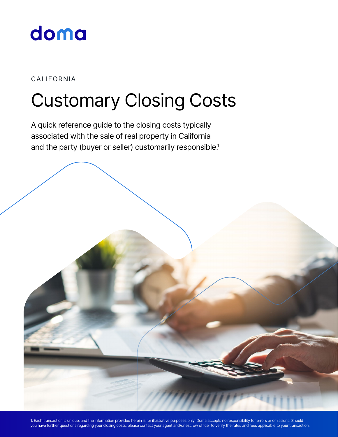

#### CALIFORNIA

# Customary Closing Costs

A quick reference guide to the closing costs typically associated with the sale of real property in California and the party (buyer or seller) customarily responsible.<sup>1</sup>

1. Each transaction is unique, and the information provided herein is for illustrative purposes only. Doma accepts no responsibility for errors or omissions. Should you have further questions regarding your closing costs, please contact your agent and/or escrow officer to verify the rates and fees applicable to your transaction.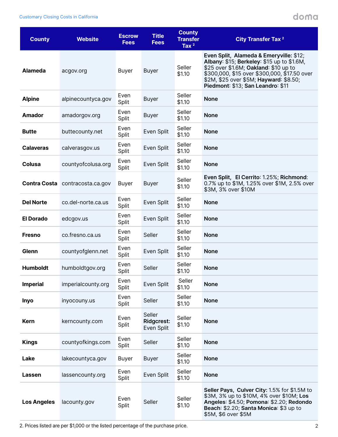#### doma

| <b>County</b>      | <b>Website</b>                  | <b>Escrow</b><br><b>Fees</b> | <b>Title</b><br><b>Fees</b>               | <b>County</b><br><b>Transfer</b><br>Tax $2$ | <b>City Transfer Tax 2</b>                                                                                                                                                                                                                                    |
|--------------------|---------------------------------|------------------------------|-------------------------------------------|---------------------------------------------|---------------------------------------------------------------------------------------------------------------------------------------------------------------------------------------------------------------------------------------------------------------|
| <b>Alameda</b>     | acgov.org                       | Buyer                        | <b>Buyer</b>                              | Seller<br>\$1.10                            | Even Split, Alameda & Emeryville: \$12;<br>Albany: \$15; Berkeley: \$15 up to \$1.6M,<br>\$25 over \$1.6M; Oakland: \$10 up to<br>\$300,000, \$15 over \$300,000, \$17.50 over<br>\$2M, \$25 over \$5M; Hayward: \$8.50;<br>Piedmont: \$13; San Leandro: \$11 |
| <b>Alpine</b>      | alpinecountyca.gov              | Even<br>Split                | <b>Buyer</b>                              | Seller<br>\$1.10                            | <b>None</b>                                                                                                                                                                                                                                                   |
| <b>Amador</b>      | amadorgov.org                   | Even<br>Split                | <b>Buyer</b>                              | Seller<br>\$1.10                            | <b>None</b>                                                                                                                                                                                                                                                   |
| <b>Butte</b>       | buttecounty.net                 | Even<br>Split                | Even Split                                | Seller<br>\$1.10                            | <b>None</b>                                                                                                                                                                                                                                                   |
| <b>Calaveras</b>   | calverasgov.us                  | Even<br>Split                | Even Split                                | Seller<br>\$1.10                            | <b>None</b>                                                                                                                                                                                                                                                   |
| Colusa             | countyofcolusa.org              | Even<br>Split                | Even Split                                | Seller<br>\$1.10                            | <b>None</b>                                                                                                                                                                                                                                                   |
|                    | Contra Costa contracosta.ca.gov | Buyer                        | <b>Buyer</b>                              | Seller<br>\$1.10                            | Even Split, El Cerrito: 1.25%; Richmond:<br>0.7% up to \$1M, 1.25% over \$1M, 2.5% over<br>\$3M, 3% over \$10M                                                                                                                                                |
| <b>Del Norte</b>   | co.del-norte.ca.us              | Even<br>Split                | Even Split                                | Seller<br>\$1.10                            | <b>None</b>                                                                                                                                                                                                                                                   |
| <b>El Dorado</b>   | edcgov.us                       | Even<br>Split                | Even Split                                | Seller<br>\$1.10                            | <b>None</b>                                                                                                                                                                                                                                                   |
| <b>Fresno</b>      | co.fresno.ca.us                 | Even<br>Split                | Seller                                    | Seller<br>\$1.10                            | <b>None</b>                                                                                                                                                                                                                                                   |
| Glenn              | countyofglenn.net               | Even<br>Split                | Even Split                                | Seller<br>\$1.10                            | <b>None</b>                                                                                                                                                                                                                                                   |
| <b>Humboldt</b>    | humboldtgov.org                 | Even<br>Split                | Seller                                    | Seller<br>\$1.10                            | <b>None</b>                                                                                                                                                                                                                                                   |
| <b>Imperial</b>    | imperialcounty.org              | Even<br>Split                | Even Split                                | Seller<br>\$1.10                            | <b>None</b>                                                                                                                                                                                                                                                   |
| <b>Inyo</b>        | inyocouny.us                    | Even<br>Split                | Seller                                    | Seller<br>\$1.10                            | <b>None</b>                                                                                                                                                                                                                                                   |
| <b>Kern</b>        | kerncounty.com                  | Even<br>Split                | Seller<br><b>Ridgcrest:</b><br>Even Split | Seller<br>\$1.10                            | <b>None</b>                                                                                                                                                                                                                                                   |
| <b>Kings</b>       | countyofkings.com               | Even<br>Split                | Seller                                    | Seller<br>\$1.10                            | <b>None</b>                                                                                                                                                                                                                                                   |
| Lake               | lakecountyca.gov                | Buyer                        | <b>Buyer</b>                              | Seller<br>\$1.10                            | <b>None</b>                                                                                                                                                                                                                                                   |
| Lassen             | lassencounty.org                | Even<br>Split                | Even Split                                | Seller<br>\$1.10                            | <b>None</b>                                                                                                                                                                                                                                                   |
| <b>Los Angeles</b> | lacounty.gov                    | Even<br>Split                | Seller                                    | Seller<br>\$1.10                            | Seller Pays, Culver City: 1.5% for \$1.5M to<br>\$3M, 3% up to \$10M, 4% over \$10M; Los<br>Angeles: \$4.50; Pomona: \$2.20; Redondo<br>Beach: \$2.20; Santa Monica: \$3 up to<br>\$5M, \$6 over \$5M                                                         |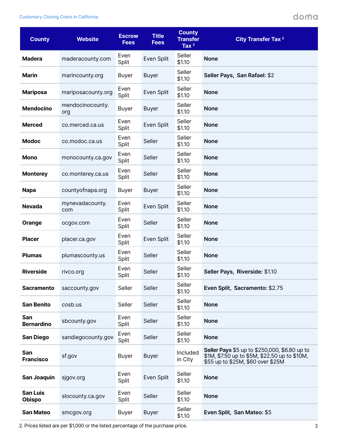### doma

| <b>County</b>                    | <b>Website</b>          | <b>Escrow</b><br><b>Fees</b> | <b>Title</b><br><b>Fees</b> | <b>County</b><br><b>Transfer</b><br>Tax $2$ | <b>City Transfer Tax 2</b>                                                                                                          |
|----------------------------------|-------------------------|------------------------------|-----------------------------|---------------------------------------------|-------------------------------------------------------------------------------------------------------------------------------------|
| <b>Madera</b>                    | maderacounty.com        | Even<br>Split                | Even Split                  | Seller<br>\$1.10                            | <b>None</b>                                                                                                                         |
| <b>Marin</b>                     | marincounty.org         | <b>Buyer</b>                 | <b>Buyer</b>                | Seller<br>\$1.10                            | Seller Pays, San Rafael: \$2                                                                                                        |
| <b>Mariposa</b>                  | mariposacounty.org      | Even<br>Split                | Even Split                  | Seller<br>\$1.10                            | <b>None</b>                                                                                                                         |
| <b>Mendocino</b>                 | mendocinocounty.<br>org | <b>Buyer</b>                 | <b>Buyer</b>                | Seller<br>\$1.10                            | <b>None</b>                                                                                                                         |
| <b>Merced</b>                    | co.merced.ca.us         | Even<br>Split                | Even Split                  | Seller<br>\$1.10                            | <b>None</b>                                                                                                                         |
| <b>Modoc</b>                     | co.modoc.ca.us          | Even<br>Split                | Seller                      | Seller<br>\$1.10                            | <b>None</b>                                                                                                                         |
| Mono                             | monocounty.ca.gov       | Even<br>Split                | Seller                      | Seller<br>\$1.10                            | <b>None</b>                                                                                                                         |
| <b>Monterey</b>                  | co.monterey.ca.us       | Even<br>Split                | Seller                      | Seller<br>\$1.10                            | <b>None</b>                                                                                                                         |
| <b>Napa</b>                      | countyofnapa.org        | <b>Buyer</b>                 | <b>Buyer</b>                | Seller<br>\$1.10                            | <b>None</b>                                                                                                                         |
| <b>Nevada</b>                    | mynevadacounty.<br>com  | Even<br>Split                | Even Split                  | Seller<br>\$1.10                            | <b>None</b>                                                                                                                         |
| Orange                           | ocgov.com               | Even<br>Split                | Seller                      | Seller<br>\$1.10                            | <b>None</b>                                                                                                                         |
| <b>Placer</b>                    | placer.ca.gov           | Even<br>Split                | Even Split                  | Seller<br>\$1.10                            | <b>None</b>                                                                                                                         |
| <b>Plumas</b>                    | plumascounty.us         | Even<br>Split                | Seller                      | Seller<br>\$1.10                            | <b>None</b>                                                                                                                         |
| <b>Riverside</b>                 | rivco.org               | Even<br>Split                | Seller                      | Seller<br>\$1.10                            | Seller Pays, Riverside: \$1.10                                                                                                      |
| <b>Sacramento</b>                | saccounty.gov           | Seller                       | Seller                      | Seller<br>\$1.10                            | Even Split, Sacramento: \$2.75                                                                                                      |
| <b>San Benito</b>                | cosb.us                 | Seller                       | Seller                      | Seller<br>\$1.10                            | <b>None</b>                                                                                                                         |
| San<br><b>Bernardino</b>         | sbcounty.gov            | Even<br>Split                | Seller                      | Seller<br>\$1.10                            | <b>None</b>                                                                                                                         |
| <b>San Diego</b>                 | sandiegocounty.gov      | Even<br>Split                | Seller                      | Seller<br>\$1.10                            | <b>None</b>                                                                                                                         |
| San<br><b>Francisco</b>          | sf.gov                  | <b>Buyer</b>                 | <b>Buyer</b>                | Included<br>in City                         | Seller Pays \$5 up to \$250,000, \$6.80 up to<br>\$1M, \$7.50 up to \$5M, \$22.50 up to \$10M,<br>\$55 up to \$25M, \$60 over \$25M |
| <b>San Joaquin</b>               | sjgov.org               | Even<br>Split                | Even Split                  | Seller<br>\$1.10                            | <b>None</b>                                                                                                                         |
| <b>San Luis</b><br><b>Obispo</b> | slocounty.ca.gov        | Even<br>Split                | Seller                      | Seller<br>\$1.10                            | <b>None</b>                                                                                                                         |
| <b>San Mateo</b>                 | smcgov.org              | Buyer                        | <b>Buyer</b>                | Seller<br>\$1.10                            | Even Split, San Mateo: \$5                                                                                                          |

2. Prices listed are per \$1,000 or the listed percentage of the purchase price.